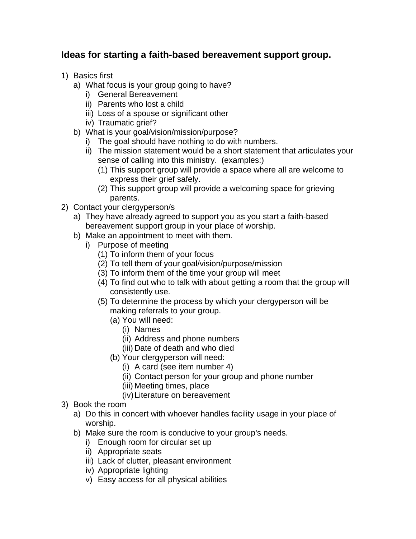## **Ideas for starting a faith-based bereavement support group.**

- 1) Basics first
	- a) What focus is your group going to have?
		- i) General Bereavement
		- ii) Parents who lost a child
		- iii) Loss of a spouse or significant other
		- iv) Traumatic grief?
	- b) What is your goal/vision/mission/purpose?
		- i) The goal should have nothing to do with numbers.
		- ii) The mission statement would be a short statement that articulates your sense of calling into this ministry. (examples:)
			- (1) This support group will provide a space where all are welcome to express their grief safely.
			- (2) This support group will provide a welcoming space for grieving parents.
- 2) Contact your clergyperson/s
	- a) They have already agreed to support you as you start a faith-based bereavement support group in your place of worship.
	- b) Make an appointment to meet with them.
		- i) Purpose of meeting
			- (1) To inform them of your focus
			- (2) To tell them of your goal/vision/purpose/mission
			- (3) To inform them of the time your group will meet
			- (4) To find out who to talk with about getting a room that the group will consistently use.
			- (5) To determine the process by which your clergyperson will be making referrals to your group.
				- (a) You will need:
					- (i) Names
					- (ii) Address and phone numbers
					- (iii) Date of death and who died
				- (b) Your clergyperson will need:
					- (i) A card (see item number 4)
					- (ii) Contact person for your group and phone number
					- (iii) Meeting times, place
					- (iv)Literature on bereavement
- 3) Book the room
	- a) Do this in concert with whoever handles facility usage in your place of worship.
	- b) Make sure the room is conducive to your group's needs.
		- i) Enough room for circular set up
		- ii) Appropriate seats
		- iii) Lack of clutter, pleasant environment
		- iv) Appropriate lighting
		- v) Easy access for all physical abilities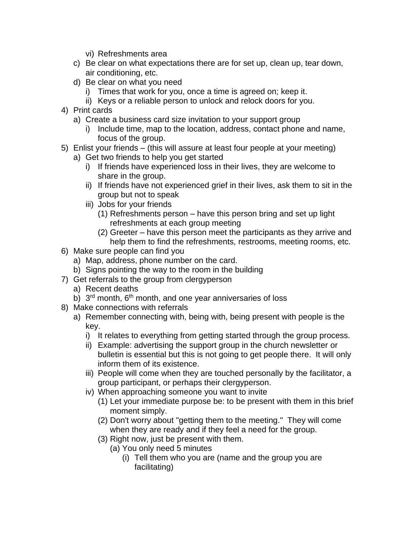- vi) Refreshments area
- c) Be clear on what expectations there are for set up, clean up, tear down, air conditioning, etc.
- d) Be clear on what you need
	- i) Times that work for you, once a time is agreed on; keep it.
	- ii) Keys or a reliable person to unlock and relock doors for you.
- 4) Print cards
	- a) Create a business card size invitation to your support group
		- i) Include time, map to the location, address, contact phone and name, focus of the group.
- 5) Enlist your friends (this will assure at least four people at your meeting)
	- a) Get two friends to help you get started
		- i) If friends have experienced loss in their lives, they are welcome to share in the group.
		- ii) If friends have not experienced grief in their lives, ask them to sit in the group but not to speak
		- iii) Jobs for your friends
			- (1) Refreshments person have this person bring and set up light refreshments at each group meeting
			- (2) Greeter have this person meet the participants as they arrive and help them to find the refreshments, restrooms, meeting rooms, etc.
- 6) Make sure people can find you
	- a) Map, address, phone number on the card.
	- b) Signs pointing the way to the room in the building
- 7) Get referrals to the group from clergyperson
	- a) Recent deaths
	- b) 3<sup>rd</sup> month, 6<sup>th</sup> month, and one year anniversaries of loss
- 8) Make connections with referrals
	- a) Remember connecting with, being with, being present with people is the key.
		- i) It relates to everything from getting started through the group process.
		- ii) Example: advertising the support group in the church newsletter or bulletin is essential but this is not going to get people there. It will only inform them of its existence.
		- iii) People will come when they are touched personally by the facilitator, a group participant, or perhaps their clergyperson.
		- iv) When approaching someone you want to invite
			- (1) Let your immediate purpose be: to be present with them in this brief moment simply.
			- (2) Don't worry about "getting them to the meeting." They will come when they are ready and if they feel a need for the group.
			- (3) Right now, just be present with them.
				- (a) You only need 5 minutes
					- (i) Tell them who you are (name and the group you are facilitating)